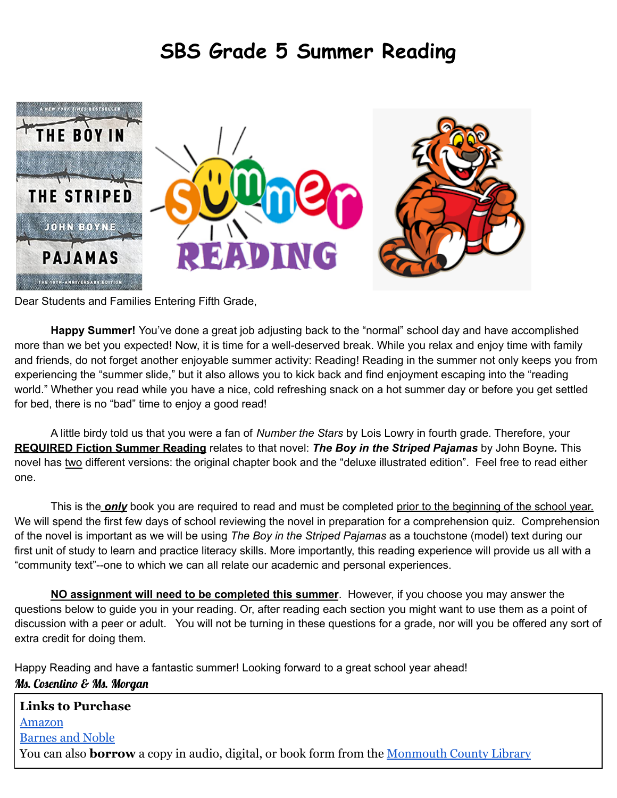### **SBS Grade 5 Summer Reading**



Dear Students and Families Entering Fifth Grade,

**Happy Summer!** You've done a great job adjusting back to the "normal" school day and have accomplished more than we bet you expected! Now, it is time for a well-deserved break. While you relax and enjoy time with family and friends, do not forget another enjoyable summer activity: Reading! Reading in the summer not only keeps you from experiencing the "summer slide," but it also allows you to kick back and find enjoyment escaping into the "reading world." Whether you read while you have a nice, cold refreshing snack on a hot summer day or before you get settled for bed, there is no "bad" time to enjoy a good read!

A little birdy told us that you were a fan of *Number the Stars* by Lois Lowry in fourth grade. Therefore, your **REQUIRED Fiction Summer Reading** relates to that novel: *The Boy in the Striped Pajamas* by John Boyne*.* This novel has two different versions: the original chapter book and the "deluxe illustrated edition". Feel free to read either one.

This is the *only* book you are required to read and must be completed prior to the beginning of the school year. We will spend the first few days of school reviewing the novel in preparation for a comprehension quiz. Comprehension of the novel is important as we will be using *The Boy in the Striped Pajamas* as a touchstone (model) text during our first unit of study to learn and practice literacy skills. More importantly, this reading experience will provide us all with a "community text"--one to which we can all relate our academic and personal experiences.

**NO assignment will need to be completed this summer**. However, if you choose you may answer the questions below to guide you in your reading. Or, after reading each section you might want to use them as a point of discussion with a peer or adult. You will not be turning in these questions for a grade, nor will you be offered any sort of extra credit for doing them.

Happy Reading and have a fantastic summer! Looking forward to a great school year ahead! Ms. Cosentino & Ms. Morgan

| <b>Links to Purchase</b>                                                                                  |
|-----------------------------------------------------------------------------------------------------------|
| Amazon                                                                                                    |
| <b>Barnes and Noble</b>                                                                                   |
| You can also <b>borrow</b> a copy in audio, digital, or book form from the <u>Monmouth County Library</u> |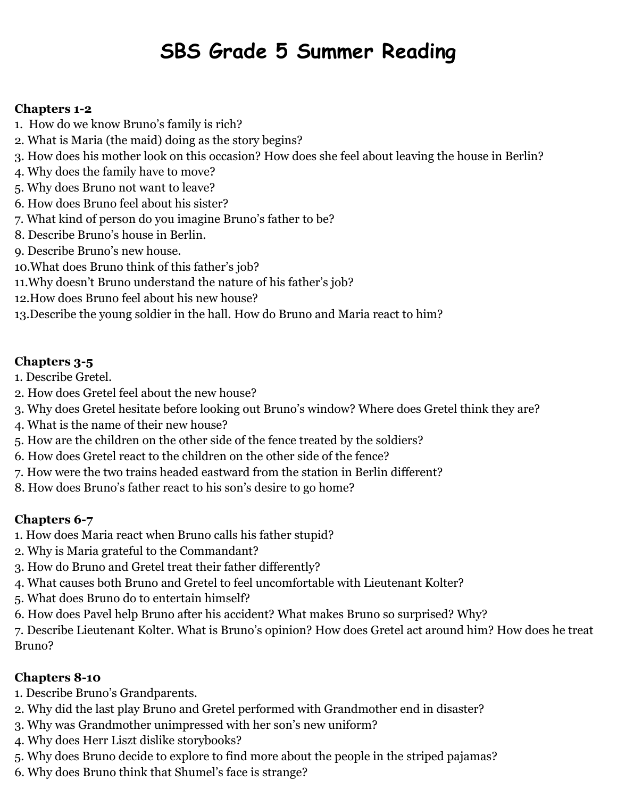# **SBS Grade 5 Summer Reading**

#### **Chapters 1-2**

- 1. How do we know Bruno's family is rich?
- 2. What is Maria (the maid) doing as the story begins?
- 3. How does his mother look on this occasion? How does she feel about leaving the house in Berlin?
- 4. Why does the family have to move?
- 5. Why does Bruno not want to leave?
- 6. How does Bruno feel about his sister?
- 7. What kind of person do you imagine Bruno's father to be?
- 8. Describe Bruno's house in Berlin.
- 9. Describe Bruno's new house.
- 10.What does Bruno think of this father's job?
- 11.Why doesn't Bruno understand the nature of his father's job?
- 12.How does Bruno feel about his new house?
- 13.Describe the young soldier in the hall. How do Bruno and Maria react to him?

### **Chapters 3-5**

- 1. Describe Gretel.
- 2. How does Gretel feel about the new house?
- 3. Why does Gretel hesitate before looking out Bruno's window? Where does Gretel think they are?
- 4. What is the name of their new house?
- 5. How are the children on the other side of the fence treated by the soldiers?
- 6. How does Gretel react to the children on the other side of the fence?
- 7. How were the two trains headed eastward from the station in Berlin different?
- 8. How does Bruno's father react to his son's desire to go home?

### **Chapters 6-7**

- 1. How does Maria react when Bruno calls his father stupid?
- 2. Why is Maria grateful to the Commandant?
- 3. How do Bruno and Gretel treat their father differently?
- 4. What causes both Bruno and Gretel to feel uncomfortable with Lieutenant Kolter?
- 5. What does Bruno do to entertain himself?
- 6. How does Pavel help Bruno after his accident? What makes Bruno so surprised? Why?

7. Describe Lieutenant Kolter. What is Bruno's opinion? How does Gretel act around him? How does he treat Bruno?

### **Chapters 8-10**

- 1. Describe Bruno's Grandparents.
- 2. Why did the last play Bruno and Gretel performed with Grandmother end in disaster?
- 3. Why was Grandmother unimpressed with her son's new uniform?
- 4. Why does Herr Liszt dislike storybooks?
- 5. Why does Bruno decide to explore to find more about the people in the striped pajamas?
- 6. Why does Bruno think that Shumel's face is strange?